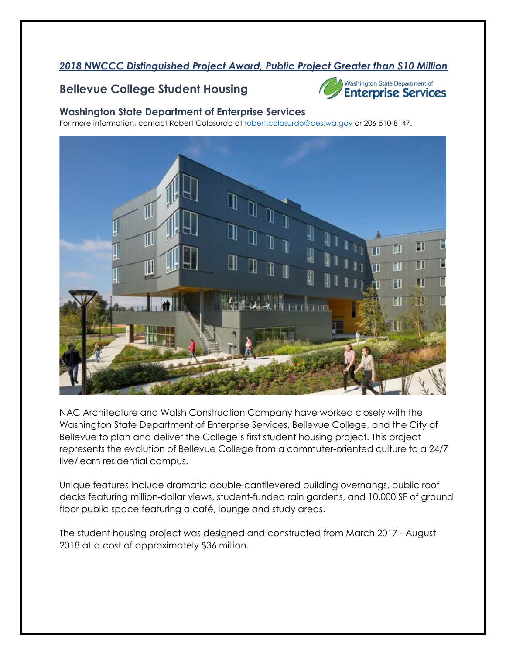## *2018 NWCCC Distinguished Project Award, Public Project Greater than \$10 Million*

## **Bellevue College Student Housing**



Washington State Department of **Enterprise Services** 

#### **Washington State Department of Enterprise Services**

For more information, contact Robert Colasurdo at [robert.colasurdo@des.wa.gov](mailto:robert.colasurdo@des.wa.gov) or 206-510-8147.



NAC Architecture and Walsh Construction Company have worked closely with the Washington State Department of Enterprise Services, Bellevue College, and the City of Bellevue to plan and deliver the College's first student housing project. This project represents the evolution of Bellevue College from a commuter-oriented culture to a 24/7 live/learn residential campus.

Unique features include dramatic double-cantilevered building overhangs, public roof decks featuring million-dollar views, student-funded rain gardens, and 10,000 SF of ground floor public space featuring a café, lounge and study areas.

The student housing project was designed and constructed from March 2017 - August 2018 at a cost of approximately \$36 million.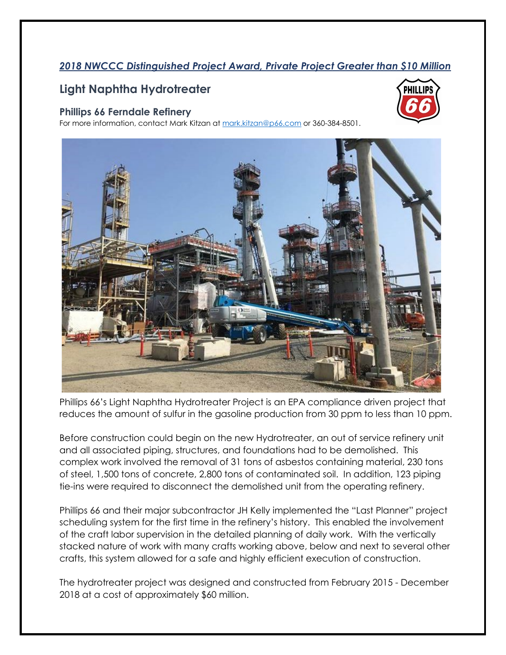### *2018 NWCCC Distinguished Project Award, Private Project Greater than \$10 Million*

## **Light Naphtha Hydrotreater**

#### **Phillips 66 Ferndale Refinery**

For more information, contact Mark Kitzan at [mark.kitzan@p66.com](mailto:mark.kitzan@p66.com) or 360-384-8501.





Phillips 66's Light Naphtha Hydrotreater Project is an EPA compliance driven project that reduces the amount of sulfur in the gasoline production from 30 ppm to less than 10 ppm.

Before construction could begin on the new Hydrotreater, an out of service refinery unit and all associated piping, structures, and foundations had to be demolished. This complex work involved the removal of 31 tons of asbestos containing material, 230 tons of steel, 1,500 tons of concrete, 2,800 tons of contaminated soil. In addition, 123 piping tie-ins were required to disconnect the demolished unit from the operating refinery.

Phillips 66 and their major subcontractor JH Kelly implemented the "Last Planner" project scheduling system for the first time in the refinery's history. This enabled the involvement of the craft labor supervision in the detailed planning of daily work. With the vertically stacked nature of work with many crafts working above, below and next to several other crafts, this system allowed for a safe and highly efficient execution of construction.

The hydrotreater project was designed and constructed from February 2015 - December 2018 at a cost of approximately \$60 million.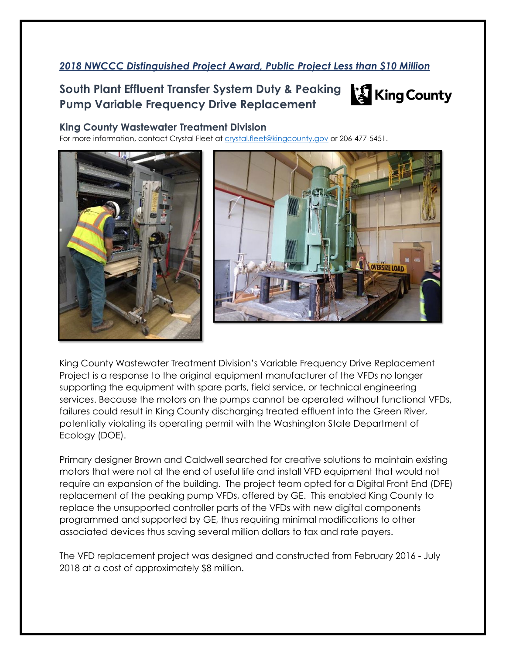## *2018 NWCCC Distinguished Project Award, Public Project Less than \$10 Million*

# **South Plant Effluent Transfer System Duty & Peaking Pump Variable Frequency Drive Replacement**



#### **King County Wastewater Treatment Division**

For more information, contact Crystal Fleet at [crystal.fleet@kingcounty.gov](mailto:crystal.fleet@kingcounty.gov) or 206-477-5451.





King County Wastewater Treatment Division's Variable Frequency Drive Replacement Project is a response to the original equipment manufacturer of the VFDs no longer supporting the equipment with spare parts, field service, or technical engineering services. Because the motors on the pumps cannot be operated without functional VFDs, failures could result in King County discharging treated effluent into the Green River, potentially violating its operating permit with the Washington State Department of Ecology (DOE).

Primary designer Brown and Caldwell searched for creative solutions to maintain existing motors that were not at the end of useful life and install VFD equipment that would not require an expansion of the building. The project team opted for a Digital Front End (DFE) replacement of the peaking pump VFDs, offered by GE. This enabled King County to replace the unsupported controller parts of the VFDs with new digital components programmed and supported by GE, thus requiring minimal modifications to other associated devices thus saving several million dollars to tax and rate payers.

The VFD replacement project was designed and constructed from February 2016 - July 2018 at a cost of approximately \$8 million.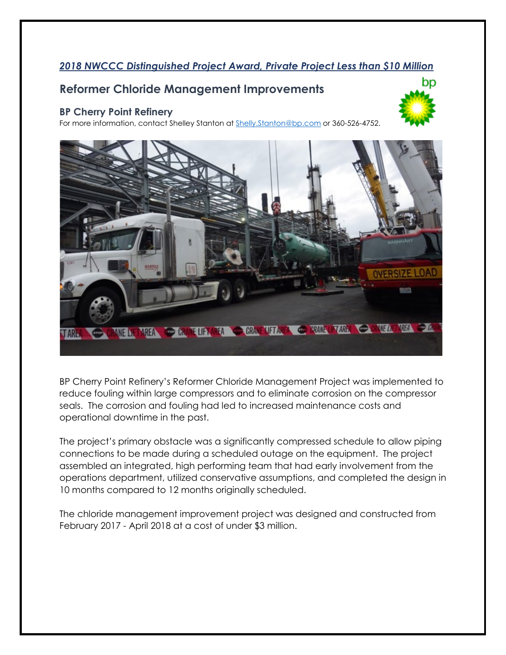## *2018 NWCCC Distinguished Project Award, Private Project Less than \$10 Million*

bp

## **Reformer Chloride Management Improvements**

#### **BP Cherry Point Refinery**

For more information, contact Shelley Stanton at **Shelly.Stanton@bp.com** or 360-526-4752.



BP Cherry Point Refinery's Reformer Chloride Management Project was implemented to reduce fouling within large compressors and to eliminate corrosion on the compressor seals. The corrosion and fouling had led to increased maintenance costs and operational downtime in the past.

The project's primary obstacle was a significantly compressed schedule to allow piping connections to be made during a scheduled outage on the equipment. The project assembled an integrated, high performing team that had early involvement from the operations department, utilized conservative assumptions, and completed the design in 10 months compared to 12 months originally scheduled.

The chloride management improvement project was designed and constructed from February 2017 - April 2018 at a cost of under \$3 million.